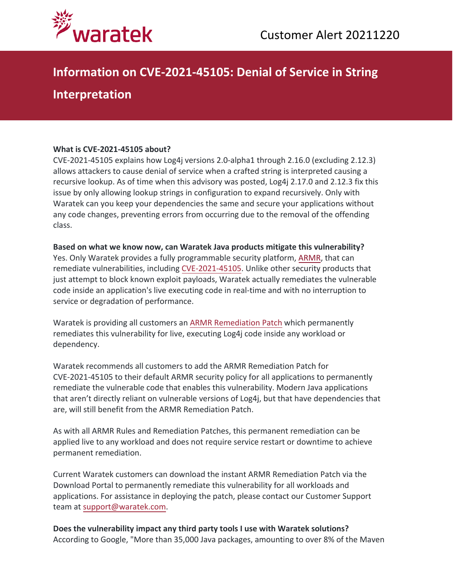

# **Information on CVE-2021-45105: Denial of Service in String**

## **Interpretation**

### **What is CVE-2021-45105 about?**

CVE-2021-45105 explains how Log4j versions 2.0-alpha1 through 2.16.0 (excluding 2.12.3) allows attackers to cause denial of service when a crafted string is interpreted causing a recursive lookup. As of time when this advisory was posted, Log4j 2.17.0 and 2.12.3 fix this issue by only allowing lookup strings in configuration to expand recursively. Only with Waratek can you keep your dependencies the same and secure your applications without any code changes, preventing errors from occurring due to the removal of the offending class.

### **Based on what we know now, can Waratek Java products mitigate this vulnerability?**

Yes. Only Waratek provides a fully programmable security platform, [ARMR,](https://www.waratek.com/application-security-platform/) that can remediate vulnerabilities, including [CVE-2021-45](https://nvd.nist.gov/vuln/detail/CVE-2021-45105)105. Unlike other security products that just attempt to block known exploit payloads, Waratek actually remediates the vulnerable code inside an application's live executing code in real-time and with no interruption to service or degradation of performance.

Waratek is providing all customers an [ARMR Remediation](https://www.waratek.com/virtual-patching/) Patch which permanently remediates this vulnerability for live, executing Log4j code inside any workload or dependency.

Waratek recommends all customers to add the ARMR Remediation Patch for CVE-2021-45105 to their default ARMR security policy for all applications to permanently remediate the vulnerable code that enables this vulnerability. Modern Java applications that aren't directly reliant on vulnerable versions of Log4j, but that have dependencies that are, will still benefit from the ARMR Remediation Patch.

As with all ARMR Rules and Remediation Patches, this permanent remediation can be applied live to any workload and does not require service restart or downtime to achieve permanent remediation.

Current Waratek customers can download the instant ARMR Remediation Patch via the Download Portal to permanently remediate this vulnerability for all workloads and applications. For assistance in deploying the patch, please contact our Customer Support team at [support@waratek.com.](mailto:support@waratek.com)

**Does the vulnerability impact any third party tools I use with Waratek solutions?** According to Google, "More than 35,000 Java packages, amounting to over 8% of the Maven